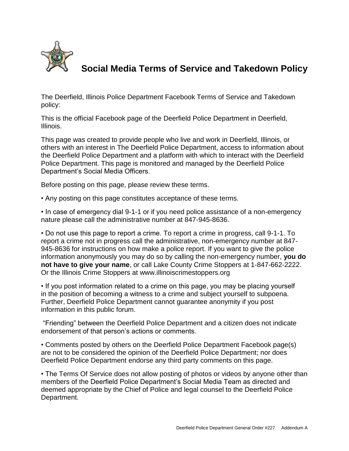

## **Social Media Terms of Service and Takedown Policy**

The Deerfield, Illinois Police Department Facebook Terms of Service and Takedown policy:

This is the official Facebook page of the Deerfield Police Department in Deerfield, Illinois.

This page was created to provide people who live and work in Deerfield, Illinois, or others with an interest in The Deerfield Police Department, access to information about the Deerfield Police Department and a platform with which to interact with the Deerfield Police Department. This page is monitored and managed by the Deerfield Police Department's Social Media Officers.

Before posting on this page, please review these terms.

• Any posting on this page constitutes acceptance of these terms.

• In case of emergency dial 9-1-1 or if you need police assistance of a non-emergency nature please call the administrative number at 847-945-8636.

• Do not use this page to report a crime. To report a crime in progress, call 9-1-1. To report a crime not in progress call the administrative, non-emergency number at 847- 945-8636 for instructions on how make a police report. If you want to give the police information anonymously you may do so by calling the non-emergency number, **you do not have to give your name**, or call Lake County Crime Stoppers at 1-847-662-2222. Or the Illinois Crime Stoppers at www.illinoiscrimestoppers.org

• If you post information related to a crime on this page, you may be placing yourself in the position of becoming a witness to a crime and subject yourself to subpoena. Further, Deerfield Police Department cannot guarantee anonymity if you post information in this public forum.

"Friending" between the Deerfield Police Department and a citizen does not indicate endorsement of that person's actions or comments.

• Comments posted by others on the Deerfield Police Department Facebook page(s) are not to be considered the opinion of the Deerfield Police Department; nor does Deerfield Police Department endorse any third party comments on this page.

• The Terms Of Service does not allow posting of photos or videos by anyone other than members of the Deerfield Police Department's Social Media Team as directed and deemed appropriate by the Chief of Police and legal counsel to the Deerfield Police Department.